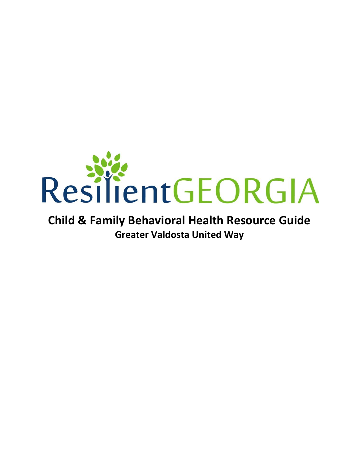

### **Child & Family Behavioral Health Resource Guide Greater Valdosta United Way**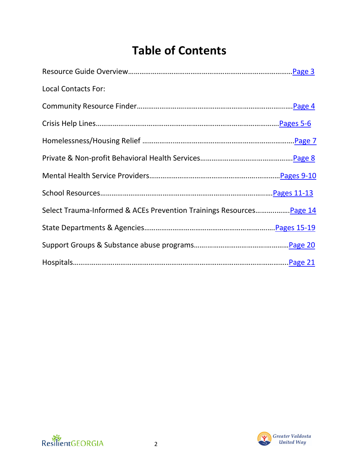## **Table of Contents**

| <b>Local Contacts For:</b>                                           |  |
|----------------------------------------------------------------------|--|
|                                                                      |  |
|                                                                      |  |
|                                                                      |  |
|                                                                      |  |
|                                                                      |  |
|                                                                      |  |
| Select Trauma-Informed & ACEs Prevention Trainings Resources Page 14 |  |
|                                                                      |  |
|                                                                      |  |
|                                                                      |  |



<span id="page-1-0"></span>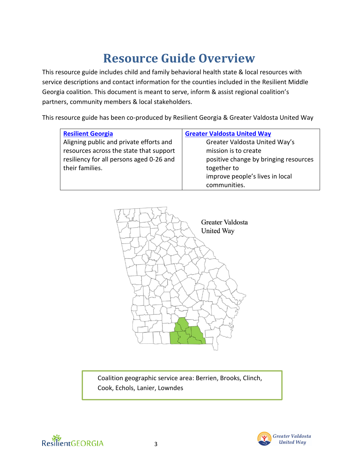## **Resource Guide Overview**

This resource guide includes child and family behavioral health state & local resources with service descriptions and contact information for the counties included in the Resilient Middle Georgia coalition. This document is meant to serve, inform & assist regional coalition's partners, community members & local stakeholders.

This resource guide has been co-produced by Resilient Georgia & Greater Valdosta United Way

| <b>Resilient Georgia</b>                 | <b>Greater Valdosta United Way</b>    |
|------------------------------------------|---------------------------------------|
| Aligning public and private efforts and  | Greater Valdosta United Way's         |
| resources across the state that support  | mission is to create                  |
| resiliency for all persons aged 0-26 and | positive change by bringing resources |
| their families.                          | together to                           |
|                                          | improve people's lives in local       |
|                                          | communities.                          |



**Cook, Echols, Lanier, Lowndes**<br> **Cook, Echols, Lanier, Lowndes** Coalition geographic service area: Berrien, Brooks, Clinch,



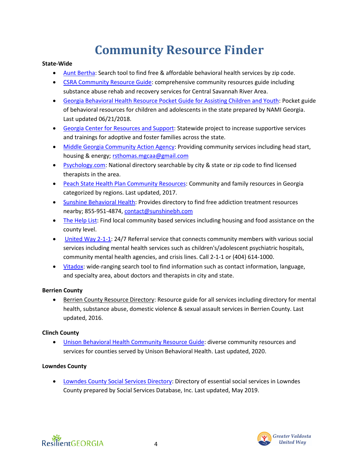## **Community Resource Finder**

### <span id="page-3-0"></span>**State-Wide**

- [Aunt Bertha:](https://www.findhelp.org/) Search tool to find free & affordable behavioral health services by zip code.
- [CSRA Community Resource Guide:](http://www.serenitybhs.com/wp-content/uploads/2018/01/CSRA-Resource-Guide-2017.pdf) comprehensive community resources guide including substance abuse rehab and recovery services for Central Savannah River Area.
- [Georgia Behavioral Health Resource Pocket Guide for Assisting Children and Youth:](https://2gs99b2nh1bc2sicdc3x3myx-wpengine.netdna-ssl.com/wp-content/uploads/sites/21/2018/06/Youth-Pocket-Guide-rev.pdf) Pocket guide of behavioral resources for children and adolescents in the state prepared by NAMI Georgia. Last updated 06/21/2018.
- [Georgia Center for Resources and Support:](https://www.gacrs.org/services/community-resources) Statewide project to increase supportive services and trainings for adoptive and foster families across the state.
- [Middle Georgia Community Action Agency:](https://www.mgcaa.org/) Providing community services including head start, housing & energy; [rsthomas.mgcaa@gmail.com](mailto:rsthomas.mgcaa@gmail.com)
- [Psychology.com:](http://www.psychology.com/therapist/) National directory searchable by city & state or zip code to find licensed therapists in the area.
- [Peach State Health Plan Community Resources:](https://www.pshpgeorgia.com/content/dam/centene/peachstate/pdfs/PSHP-Community%20Resource%20Guide-1017.pdf) Community and family resources in Georgia categorized by regions. Last updated, 2017.
- [Sunshine Behavioral Health:](https://www.sunshinebehavioralhealth.com/georgia/) Provides directory to find free addiction treatment resources nearby; 855-951-4874, [contact@sunshinebh.com](mailto:contact@sunshinebh.com)
- [The Help List:](https://www.thehelplist.com/states/georgia) Find local community based services including housing and food assistance on the county level.
- [United Way 2-1-1:](http://r20.rs6.net/tn.jsp?f=0017ancjjn7FjwNb1Ufp9WDpsZOiAr6J788i4OqLADc3KIVU8d_iAbrin-joXsRuomHCp1_i4HTfbqqaZKF2k2QspJLUDjkuX0is6X1t78qorCvx5OHo2vGDS12gFbfiJHRv1XOd682ASZYCvxNNJ5YdGA9JaecBN8z8ldlGgDcUirMyCOXDO1evA==&c=jHSP0aI-A0jO2FCVVDQrCNoR_8CviQQPH9rqu4GtfdwM-vWul6oK3w==&ch=xD_5pNLsJiBQ72BRQeWqevDQsmjxbd_v8yglJBtq7J--8EeqLCpg4w==) 24/7 Referral service that connects community members with various social services including mental health services such as children's/adolescent psychiatric hospitals, community mental health agencies, and crisis lines. Call 2-1-1 or (404) 614-1000.
- [Vitadox:](https://www.vitadox.com/) wide-ranging search tool to find information such as contact information, language, and specialty area, about doctors and therapists in city and state.

#### **Berrien County**

• [Berrien County Resource Directory:](https://greatstartberrien.org/wp-content/uploads/2017/02/Berrien-County-Resource-Directory-2016.pdf) Resource guide for all services including directory for mental health, substance abuse, domestic violence & sexual assault services in Berrien County. Last updated, 2016.

### **Clinch County**

• [Unison Behavioral Health Community Resource Guide:](https://unisonbehavioralhealth.com/images/Resource-Directory.pdf) diverse community resources and services for counties served by Unison Behavioral Health. Last updated, 2020.

### **Lowndes County**

• [Lowndes County Social Services Directory:](http://www.socialservicesdatabase.com/wp-content/uploads/2019/04/Lowndes-County-Social-Services-Directory.pdf) Directory of essential social services in Lowndes County prepared by Social Services Database, Inc. Last updated, May 2019.



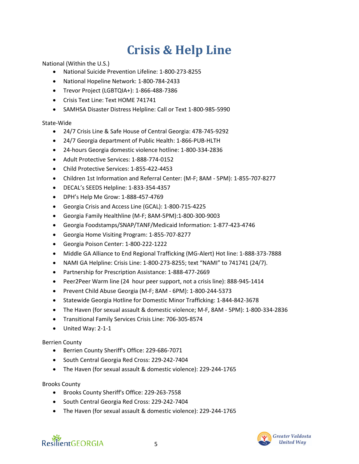## **Crisis & Help Line**

<span id="page-4-0"></span>National (Within the U.S.)

- National Suicide Prevention Lifeline: 1-800-273-8255
- National Hopeline Network: 1-800-784-2433
- Trevor Project (LGBTQIA+): 1-866-488-7386
- Crisis Text Line: Text HOME 741741
- SAMHSA Disaster Distress Helpline: Call or Text 1-800-985-5990

#### State-Wide

- 24/7 Crisis Line & Safe House of Central Georgia: 478-745-9292
- 24/7 Georgia department of Public Health: 1-866-PUB-HLTH
- 24-hours Georgia domestic violence hotline: 1-800-334-2836
- Adult Protective Services: 1-888-774-0152
- Child Protective Services: 1-855-422-4453
- Children 1st Information and Referral Center: (M-F; 8AM 5PM): 1-855-707-8277
- DECAL's SEEDS Helpline: 1-833-354-4357
- DPH's Help Me Grow: 1-888-457-4769
- Georgia Crisis and Access Line (GCAL): 1-800-715-4225
- Georgia Family Healthline (M-F; 8AM-5PM):1-800-300-9003
- Georgia Foodstamps/SNAP/TANF/Medicaid Information: 1-877-423-4746
- Georgia Home Visiting Program: 1-855-707-8277
- Georgia Poison Center: 1-800-222-1222
- Middle GA Alliance to End Regional Trafficking (MG-Alert) Hot line: 1-888-373-7888
- NAMI GA Helpline: Crisis Line: 1-800-273-8255; text "NAMI" to 741741 (24/7).
- Partnership for Prescription Assistance: 1-888-477-2669
- Peer2Peer Warm line (24 hour peer support, not a crisis line): 888-945-1414
- Prevent Child Abuse Georgia (M-F; 8AM 6PM): 1-800-244-5373
- Statewide Georgia Hotline for Domestic Minor Trafficking: 1-844-842-3678
- The Haven (for sexual assault & domestic violence; M-F, 8AM 5PM): 1-800-334-2836
- Transitional Family Services Crisis Line: 706-305-8574
- United Way: 2-1-1

#### Berrien County

- Berrien County Sheriff's Office: 229-686-7071
- South Central Georgia Red Cross: 229-242-7404
- The Haven (for sexual assault & domestic violence): 229-244-1765

#### Brooks County

- Brooks County Sheriff's Office: 229-263-7558
- South Central Georgia Red Cross: 229-242-7404
- The Haven (for sexual assault & domestic violence): 229-244-1765

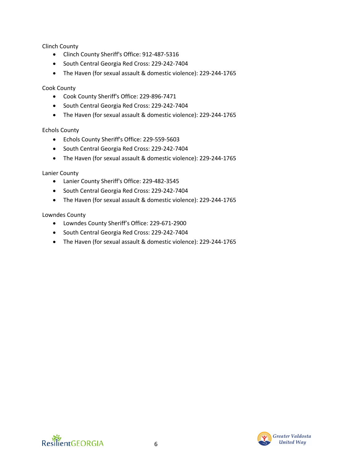Clinch County

- Clinch County Sheriff's Office: 912-487-5316
- South Central Georgia Red Cross: 229-242-7404
- The Haven (for sexual assault & domestic violence): 229-244-1765

Cook County

- Cook County Sheriff's Office: 229-896-7471
- South Central Georgia Red Cross: 229-242-7404
- The Haven (for sexual assault & domestic violence): 229-244-1765

Echols County

- Echols County Sheriff's Office: 229-559-5603
- South Central Georgia Red Cross: 229-242-7404
- The Haven (for sexual assault & domestic violence): 229-244-1765

Lanier County

- Lanier County Sheriff's Office: 229-482-3545
- South Central Georgia Red Cross: 229-242-7404
- The Haven (for sexual assault & domestic violence): 229-244-1765

Lowndes County

- Lowndes County Sheriff's Office: 229-671-2900
- South Central Georgia Red Cross: 229-242-7404
- The Haven (for sexual assault & domestic violence): 229-244-1765

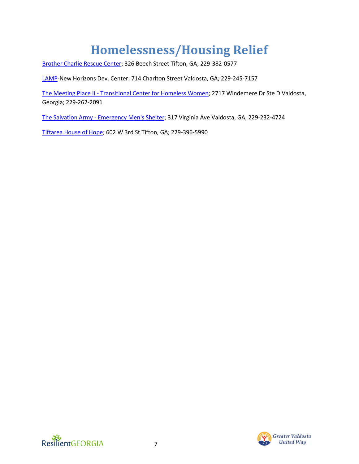# **Homelessness/Housing Relief**

<span id="page-6-0"></span>[Brother Charlie Rescue Center;](https://brothercharliesres.wixsite.com/mysite?fbclid=IwAR2R0MfxxaQuF63tJ76ojqSXGq4QlDl-upJtY-Tkp8Y0TkdqqqrTg9DY5jU) 326 Beech Street Tifton, GA; 229-382-0577

[LAMP-](https://www.lampinc.org/)New Horizons Dev. Center; 714 Charlton Street Valdosta, GA; 229-245-7157

The Meeting Place II - [Transitional Center for Homeless Women;](https://www.themeetingplace2inc.org/) 2717 Windemere Dr Ste D Valdosta, Georgia; 229-262-2091

The Salvation Army - [Emergency Men's Shelter;](https://salvationarmygeorgia.org/Valdosta/) 317 Virginia Ave Valdosta, GA; 229-232-4724

[Tiftarea House of Hope;](https://www.tiftareahouseofhope.org/) 602 W 3rd St Tifton, GA; 229-396-5990



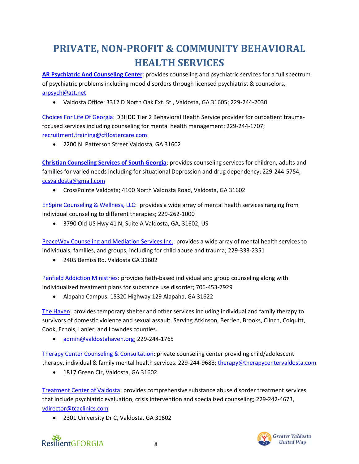### <span id="page-7-0"></span>**PRIVATE, NON-PROFIT & COMMUNITY BEHAVIORAL HEALTH SERVICES**

**[AR Psychiatric And Counseling Center](http://www.arpccenter.com/)**: provides counseling and psychiatric services for a full spectrum of psychiatric problems including mood disorders through licensed psychiatrist & counselors, [arpsych@att.net](mailto:arpsych@att.net)

• Valdosta Office: 3312 D North Oak Ext. St., Valdosta, GA 31605; 229-244-2030

[Choices For Life Of Georgia:](https://www.choicesforlifecfc.com/outpatient-2/) DBHDD Tier 2 Behavioral Health Service provider for outpatient traumafocused services including counseling for mental health management; 229-244-1707; [recruitment.training@cflfostercare.com](mailto:recruitment.training@cflfostercare.com)

• 2200 N. Patterson Street Valdosta, GA 31602

**[Christian Counseling Services of South Georgia](https://www.ccssga.com/)**: provides counseling services for children, adults and families for varied needs including for situational Depression and drug dependency; 229-244-5754, [ccsvaldosta@gmail.com](mailto:ccsvaldosta@gmail.com)

• CrossPointe Valdosta; 4100 North Valdosta Road, Valdosta, GA 31602

[EnSpire Counseling & Wellness, LLC:](https://www.enspirecounselingandwellness.com/) provides a wide array of mental health services ranging from individual counseling to different therapies; 229-262-1000

• 3790 Old US Hwy 41 N, Suite A Valdosta, GA, 31602, US

[PeaceWay Counseling and Mediation Services Inc.:](http://peacewaycounseling.com/) provides a wide array of mental health services to individuals, families, and groups, including for child abuse and trauma; 229-333-2351

• 2405 Bemiss Rd. Valdosta GA 31602

[Penfield Addiction Ministries:](https://www.penfieldaddictionministries.org/alapaha-georgia-rehabs-near-me) provides faith-based individual and group counseling along with individualized treatment plans for substance use disorder; 706-453-7929

• Alapaha Campus: 15320 Highway 129 Alapaha, GA 31622

[The Haven:](https://www.valdostahaven.org/) provides temporary shelter and other services including individual and family therapy to survivors of domestic violence and sexual assault. Serving Atkinson, Berrien, Brooks, Clinch, Colquitt, Cook, Echols, Lanier, and Lowndes counties.

• [admin@valdostahaven.org;](mailto:admin@valdostahaven.org) 229-244-1765

[Therapy Center Counseling & Consultation:](https://www.therapycentercounseling.com/) private counseling center providing child/adolescent therapy, individual & family mental health services. 229-244-9688[; therapy@therapycentervaldosta.com](mailto:therapy@therapycentervaldosta.com)

• 1817 Green Cir, Valdosta, GA 31602

[Treatment Center of Valdosta:](https://www.tcaclinics.com/valdosta/) provides comprehensive substance abuse disorder treatment services that include psychiatric evaluation, crisis intervention and specialized counseling; 229-242-4673, [vdirector@tcaclinics.com](mailto:vdirector@tcaclinics.com)

• 2301 University Dr C, Valdosta, GA 31602



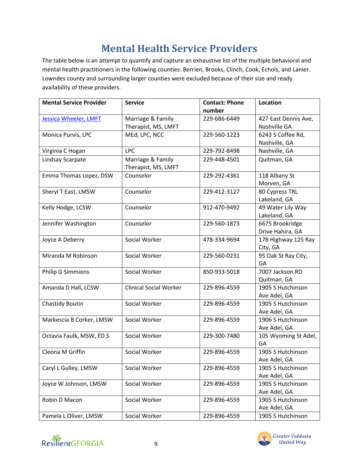### **Mental Health Service Providers**

<span id="page-8-0"></span>The table below is an attempt to quantify and capture an exhaustive list of the multiple behavioral and mental health practitioners in the following counties: Berrien, Brooks, Clinch, Cook, Echols, and Lanier. Lowndes county and surrounding larger counties were excluded because of their size and ready availability of these providers.

| <b>Mental Service Provider</b> | <b>Service</b>                | <b>Contact: Phone</b> | Location             |
|--------------------------------|-------------------------------|-----------------------|----------------------|
|                                |                               | number                |                      |
| <b>Jessica Wheeler, LMFT</b>   | Marriage & Family             | 229-686-6449          | 427 East Dennis Ave, |
|                                | Therapist, MS, LMFT           |                       | Nashville GA         |
| Monica Purvis, LPC             | MEd, LPC, NCC                 | 229-560-1223          | 6243 S Coffee Rd,    |
|                                |                               |                       | Nashville, GA        |
| Virginia C Hogan               | <b>LPC</b>                    | 229-792-8498          | Nashville, GA        |
| Lindsay Scarpate               | Marriage & Family             | 229-448-4501          | Quitman, GA          |
|                                | Therapist, MS, LMFT           |                       |                      |
| Emma Thomas Lopez, DSW         | Counselor                     | 229-292-4361          | 118 Albany St        |
|                                |                               |                       | Morven, GA           |
| Sheryl T East, LMSW            | Counselor                     | 229-412-3127          | 80 Cypress TRL       |
|                                |                               |                       | Lakeland, GA         |
| Kelly Hodge, LCSW              | Counselor                     | 912-470-9492          | 49 Water Lily Way    |
|                                |                               |                       | Lakeland, GA         |
| Jennifer Washington            | Counselor                     | 229-560-1873          | 6675 Brookridge      |
|                                |                               |                       | Drive Hahira, GA     |
| Joyce A Deberry                | Social Worker                 | 478-334-9694          | 178 Highway 125 Ray  |
|                                |                               |                       | City, GA             |
| Miranda M Robinson             | Social Worker                 | 229-560-0231          | 95 Oak St Ray City,  |
|                                |                               |                       | GA                   |
| <b>Philip G Simmions</b>       | Social Worker                 | 850-933-5018          | 7007 Jackson RD      |
|                                |                               |                       | Quitman, GA          |
| Amanda D Hall, LCSW            | <b>Clinical Social Worker</b> | 229-896-4559          | 1905 S Hutchinson    |
|                                |                               |                       | Ave Adel, GA         |
| <b>Chastidy Boutin</b>         | Social Worker                 | 229-896-4559          | 1905 S Hutchinson    |
|                                |                               |                       | Ave Adel, GA         |
| Markescia B Corker, LMSW       | Social Worker                 | 229-896-4559          | 1906 S Hutchinson    |
|                                |                               |                       | Ave Adel, GA         |
| Octavia Faulk, MSW, ED.S       | Social Worker                 | 229-300-7480          | 105 Wyoming St Adel, |
|                                |                               |                       | GA                   |
| Cleona M Griffin               | Social Worker                 | 229-896-4559          | 1905 S Hutchinson    |
|                                |                               |                       | Ave Adel, GA         |
| Caryl L Gulley, LMSW           | Social Worker                 | 229-896-4559          | 1905 S Hutchinson    |
|                                |                               |                       | Ave Adel, GA         |
| Joyce W Johnson, LMSW          | Social Worker                 | 229-896-4559          | 1905 S Hutchinson    |
|                                |                               |                       | Ave Adel, GA         |
| Robin D Macon                  | Social Worker                 | 229-896-4559          | 1905 S Hutchinson    |
|                                |                               |                       | Ave Adel, GA         |
| Pamela L Oliver, LMSW          | Social Worker                 | 229-896-4559          | 1905 S Hutchinson    |



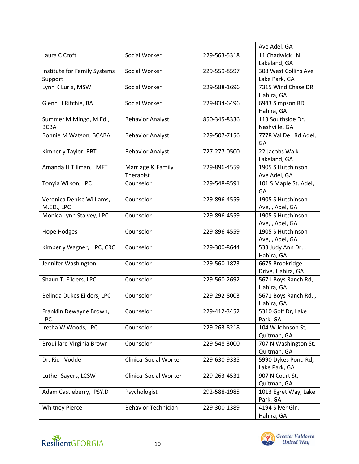|                                  |                               |              | Ave Adel, GA                      |
|----------------------------------|-------------------------------|--------------|-----------------------------------|
| Laura C Croft                    | Social Worker                 | 229-563-5318 | 11 Chadwick LN                    |
|                                  |                               |              | Lakeland, GA                      |
| Institute for Family Systems     | Social Worker                 | 229-559-8597 | 308 West Collins Ave              |
| Support                          |                               |              | Lake Park, GA                     |
| Lynn K Luria, MSW                | Social Worker                 | 229-588-1696 | 7315 Wind Chase DR                |
|                                  |                               |              | Hahira, GA                        |
| Glenn H Ritchie, BA              | Social Worker                 | 229-834-6496 | 6943 Simpson RD                   |
|                                  |                               |              | Hahira, GA                        |
| Summer M Mingo, M.Ed.,           | <b>Behavior Analyst</b>       | 850-345-8336 | 113 Southside Dr.                 |
| <b>BCBA</b>                      |                               |              | Nashville, GA                     |
| Bonnie M Watson, BCABA           | <b>Behavior Analyst</b>       | 229-507-7156 | 7778 Val DeL Rd Adel,             |
|                                  |                               |              | GA                                |
| Kimberly Taylor, RBT             | <b>Behavior Analyst</b>       | 727-277-0500 | 22 Jacobs Walk                    |
| Amanda H Tillman, LMFT           | Marriage & Family             | 229-896-4559 | Lakeland, GA<br>1905 S Hutchinson |
|                                  | Therapist                     |              | Ave Adel, GA                      |
| Tonyia Wilson, LPC               | Counselor                     | 229-548-8591 | 101 S Maple St. Adel,             |
|                                  |                               |              | GA                                |
| Veronica Denise Williams,        | Counselor                     | 229-896-4559 | 1905 S Hutchinson                 |
| M.ED., LPC                       |                               |              | Ave, , Adel, GA                   |
| Monica Lynn Stalvey, LPC         | Counselor                     | 229-896-4559 | 1905 S Hutchinson                 |
|                                  |                               |              | Ave, , Adel, GA                   |
| <b>Hope Hodges</b>               | Counselor                     | 229-896-4559 | 1905 S Hutchinson                 |
|                                  |                               |              | Ave, , Adel, GA                   |
| Kimberly Wagner, LPC, CRC        | Counselor                     | 229-300-8644 | 533 Judy Ann Dr,,                 |
|                                  |                               |              | Hahira, GA                        |
| Jennifer Washington              | Counselor                     | 229-560-1873 | 6675 Brookridge                   |
|                                  |                               |              | Drive, Hahira, GA                 |
| Shaun T. Eilders, LPC            | Counselor                     | 229-560-2692 | 5671 Boys Ranch Rd,               |
|                                  |                               |              | Hahira, GA                        |
| Belinda Dukes Eilders, LPC       | Counselor                     | 229-292-8003 | 5671 Boys Ranch Rd,,              |
|                                  |                               |              | Hahira, GA                        |
| Franklin Dewayne Brown,          | Counselor                     | 229-412-3452 | 5310 Golf Dr, Lake                |
| <b>LPC</b>                       |                               |              | Park, GA                          |
| Iretha W Woods, LPC              | Counselor                     | 229-263-8218 | 104 W Johnson St,<br>Quitman, GA  |
| <b>Brouillard Virginia Brown</b> | Counselor                     | 229-548-3000 | 707 N Washington St,              |
|                                  |                               |              | Quitman, GA                       |
| Dr. Rich Vodde                   | <b>Clinical Social Worker</b> | 229-630-9335 | 5990 Dykes Pond Rd,               |
|                                  |                               |              | Lake Park, GA                     |
| Luther Sayers, LCSW              | <b>Clinical Social Worker</b> | 229-263-4531 | 907 N Court St,                   |
|                                  |                               |              | Quitman, GA                       |
| Adam Castleberry, PSY.D          | Psychologist                  | 292-588-1985 | 1013 Egret Way, Lake              |
|                                  |                               |              | Park, GA                          |
| <b>Whitney Pierce</b>            | <b>Behavior Technician</b>    | 229-300-1389 | 4194 Silver Gln,                  |
|                                  |                               |              | Hahira, GA                        |



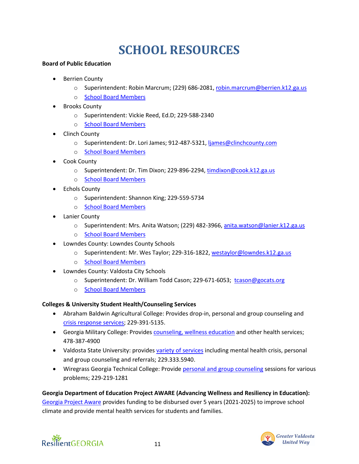# **SCHOOL RESOURCES**

#### <span id="page-10-0"></span>**Board of Public Education**

- Berrien County
	- o Superintendent: Robin Marcrum; (229) 686-2081, [robin.marcrum@berrien.k12.ga.us](mailto:robin.marcrum@berrien.k12.ga.us)
	- o [School Board Members](https://simbli.eboardsolutions.com/Index.aspx?S=4012)
- **Brooks County** 
	- o Superintendent: Vickie Reed, Ed.D; 229-588-2340
	- o [School Board Members](https://simbli.eboardsolutions.com/index.aspx?s=4017)
- Clinch County
	- o Superintendent: Dr. Lori James; 912-487-5321, [ljames@clinchcounty.com](mailto:ljames@clinchcounty.com)
	- o [School Board Members](https://simbli.eboardsolutions.com/Index.aspx?S=4039)
- Cook County
	- o Superintendent: Dr. Tim Dixon; 229-896-2294, [timdixon@cook.k12.ga.us](mailto:timdixon@cook.k12.ga.us)
	- o [School Board Members](https://simbli.eboardsolutions.com/Index.aspx?S=4045)
- **Echols County** 
	- o Superintendent: Shannon King; 229-559-5734
	- o [School Board Members](https://simbli.eboardsolutions.com/Index.aspx?S=4061)
- **Lanier County** 
	- o Superintendent: Mrs. Anita Watson; (229) 482-3966, [anita.watson@lanier.k12.ga.us](mailto:anita.watson@lanier.k12.ga.us)
	- o [School Board Members](https://simbli.eboardsolutions.com/Index.aspx?S=4100)
- Lowndes County: Lowndes County Schools
	- o Superintendent: Mr. Wes Taylor; 229-316-1822, [westaylor@lowndes.k12.ga.us](mailto:westaylor@lowndes.k12.ga.us)
	- o [School Board Members](https://simbli.eboardsolutions.com/Index.aspx?S=4106)
- Lowndes County: Valdosta City Schools
	- o Superintendent: Dr. William Todd Cason; 229-671-6053; [tcason@gocats.org](mailto:tcason@gocats.org)
	- o [School Board Members](https://simbli.eboardsolutions.com/Index.aspx?S=4166)

### **Colleges & University Student Health/Counseling Services**

- Abraham Baldwin Agricultural College: Provides drop-in, personal and group counseling and [crisis response services;](https://www.abac.edu/counseling-center/) 229-391-5135.
- Georgia Military College: Provides [counseling, wellness education](https://www.gmc.edu/health-services/) and other health services; 478-387-4900
- Valdosta State University: provide[s variety of services](https://www.valdosta.edu/student/student-services/counseling-center/our-services.php) including mental health crisis, personal and group counseling and referrals; 229.333.5940.
- Wiregrass Georgia Technical College: Provide [personal and group counseling](https://www.wiregrass.edu/special-populations/personal-counseling) sessions for various problems; 229-219-1281

### **Georgia Department of Education Project AWARE (Advancing Wellness and Resiliency in Education):**

[Georgia Project Aware](https://www.gadoe.org/Curriculum-Instruction-and-Assessment/Special-Education-Services/Pages/Georgia-Project-AWARE.aspx) provides funding to be disbursed over 5 years (2021-2025) to improve school climate and provide mental health services for students and families.



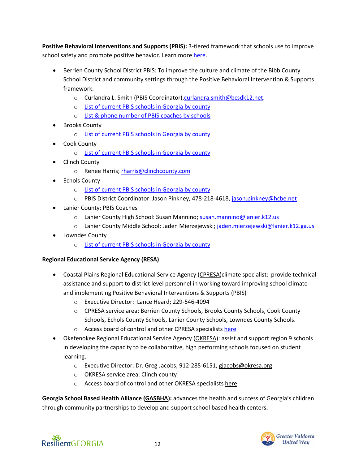**Positive Behavioral Interventions and Supports (PBIS):** 3-tiered framework that schools use to improve school safety and promote positive behavior. Learn more [here.](https://www.pbis.org/)

- Berrien County School District PBIS: To improve the culture and climate of the Bibb County School District and community settings through the Positive Behavioral Intervention & Supports framework.
	- o Curlandra L. Smith (PBIS Coordinator)[,curlandra.smith@bcsdk12.net.](mailto:curlandra.smith@bcsdk12.net)
	- o [List of current PBIS schools in Georgia by county](https://files.constantcontact.com/6e79dc12801/455ffd30-f1e8-4532-ad1b-d0f33cd31dfd.xlsx)
	- o [List & phone number of PBIS coaches by schools](https://files.constantcontact.com/6e79dc12801/b034453d-1b08-4d51-88bf-5e2acee03003.xlsx)
- Brooks County
	- o [List of current PBIS schools in Georgia by county](https://files.constantcontact.com/6e79dc12801/455ffd30-f1e8-4532-ad1b-d0f33cd31dfd.xlsx)
- Cook County
	- o [List of current PBIS schools in Georgia by county](https://files.constantcontact.com/6e79dc12801/455ffd30-f1e8-4532-ad1b-d0f33cd31dfd.xlsx)
- Clinch County
	- o Renee Harris[; rharris@clinchcounty.com](mailto:rharris@clinchcounty.com)
- **Echols County** 
	- o [List of current PBIS schools in Georgia by county](https://files.constantcontact.com/6e79dc12801/455ffd30-f1e8-4532-ad1b-d0f33cd31dfd.xlsx)
	- o PBIS District Coordinator: Jason Pinkney, 478-218-4618, [jason.pinkney@hcbe.net](mailto:jason.pinkney@hcbe.net)
- Lanier County: PBIS Coaches
	- o Lanier County High School: Susan Mannino[; susan.mannino@lanier.k12.us](mailto:susan.mannino@lanier.k12.us)
	- o Lanier County Middle School: Jaden Mierzejewski; [jaden.mierzejewski@lanier.k12.ga.us](mailto:jaden.mierzejewski@lanier.k12.ga.us)
- Lowndes County
	- o [List of current PBIS schools in Georgia by county](https://files.constantcontact.com/6e79dc12801/455ffd30-f1e8-4532-ad1b-d0f33cd31dfd.xlsx)

### **Regional Educational Service Agency (RESA)**

- Coastal Plains Regional Educational Service Agency [\(CPRESA\)](https://sites.google.com/cpresa.org/cpresa/home)climate specialist: provide technical assistance and support to district level personnel in working toward improving school climate and implementing Positive Behavioral Interventions & Supports (PBIS)
	- o Executive Director: Lance Heard; 229-546-4094
	- o CPRESA service area: Berrien County Schools, Brooks County Schools, Cook County Schools, Echols County Schools, Lanier County Schools, Lowndes County Schools.
	- o Access board of control and other CPRESA specialist[s here](https://sites.google.com/cpresa.org/cpresa/about-us#h.88tj2yymt7gz)
- Okefenokee Regional Educational Service Agency [\(OKRESA\)](https://okresa.org/about/): assist and support region 9 schools in developing the capacity to be collaborative, high performing schools focused on student learning.
	- o Executive Director: Dr. Greg Jacobs; 912-285-6151, [gjacobs@okresa.org](mailto:gjacobs@okresa.org)
	- o OKRESA service area: Clinch county
	- o Access board of control and other OKRESA specialists [here](https://okresa.org/about/)

**Georgia School Based Health Alliance [\(GASBHA\)](http://gasbha.org/):** advances the health and success of Georgia's children through community partnerships to develop and support school based health centers**.**

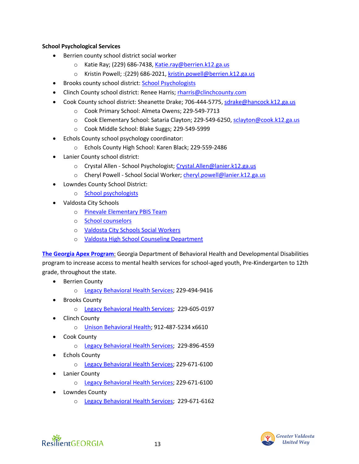### **School Psychological Services**

- Berrien county school district social worker
	- o Katie Ray; (229) 686-7438, [Katie.ray@berrien.k12.ga.us](mailto:Katie.ray@berrien.k12.ga.us)
	- o Kristin Powell; : (229) 686-2021[, kristin.powell@berrien.k12.ga.us](mailto:kristin.powell@berrien.k12.ga.us)
- Brooks county school district: [School Psychologists](https://files.constantcontact.com/6e79dc12801/1220b41f-e660-4fdb-b6e5-24824008c518.xlsx)
- Clinch County school district: Renee Harris[; rharris@clinchcounty.com](mailto:rharris@clinchcounty.com)
- Cook County school district: Sheanette Drake; 706-444-5775[, sdrake@hancock.k12.ga.us](mailto:sdrake@hancock.k12.ga.us)
	- o Cook Primary School: Almeta Owens; 229-549-7713
	- o Cook Elementary School: Sataria Clayton; 229-549-6250, [sclayton@cook.k12.ga.us](mailto:sclayton@cook.k12.ga.us)
	- o Cook Middle School: Blake Suggs; 229-549-5999
- Echols County school psychology coordinator:
	- o Echols County High School: Karen Black; 229-559-2486
- Lanier County school district:
	- o Crystal Allen School Psychologist[; Crystal.Allen@lanier.k12.ga.us](mailto:Crystal.Allen@lanier.k12.ga.us)
	- o Cheryl Powell School Social Worker[; cheryl.powell@lanier.k12.ga.us](mailto:cheryl.powell@lanier.k12.ga.us)
- Lowndes County School District:
	- o [School psychologists](https://files.constantcontact.com/6e79dc12801/1220b41f-e660-4fdb-b6e5-24824008c518.xlsx)
- Valdosta City Schools
	- o [Pinevale Elementary PBIS Team](https://sites.google.com/gocats.org/pinevaletigerway/pinevale-pbis)
	- o [School counselors](https://files.constantcontact.com/6e79dc12801/1220b41f-e660-4fdb-b6e5-24824008c518.xlsx)
	- o [Valdosta City Schools Social Workers](https://www.gocats.org/apps/pages/index.jsp?uREC_ID=335451&type=d&pREC_ID=743143)
	- o [Valdosta High School Counseling Department](https://vhs.gocats.org/apps/pages/index.jsp?uREC_ID=333831&type=d&pREC_ID=staff)

**[The Georgia Apex Program](https://dbhdd.georgia.gov/georgia-apex-program)**: Georgia Department of Behavioral Health and Developmental Disabilities program to increase access to mental health services for school-aged youth, Pre-Kindergarten to 12th grade, throughout the state.

- **Berrien County** 
	- o [Legacy Behavioral Health Services;](https://legacysga.com/contact/) 229-494-9416
- **Brooks County** 
	- o [Legacy Behavioral Health Services;](https://legacysga.com/contact/) 229-605-0197
- Clinch County
	- o [Unison Behavioral Health;](https://unisonbehavioralhealth.com/) 912-487-5234 x6610
- Cook County
	- o [Legacy Behavioral Health Services;](https://legacysga.com/contact/) 229-896-4559
- **Echols County** 
	- o [Legacy Behavioral Health Services;](https://legacysga.com/contact/) 229-671-6100
- **Lanier County** 
	- o [Legacy Behavioral Health Services;](https://legacysga.com/contact/) 229-671-6100
- Lowndes County
	- o [Legacy Behavioral Health Services;](https://legacysga.com/contact/) 229-671-6162



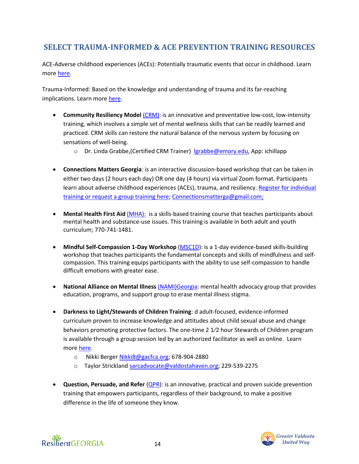### <span id="page-13-0"></span>**SELECT TRAUMA-INFORMED & ACE PREVENTION TRAINING RESOURCES**

ACE-Adverse childhood experiences (ACEs): Potentially traumatic events that occur in childhood. Learn more [here.](https://www.cdc.gov/violenceprevention/aces/fastfact.html?CDC_AA_refVal=https%3A%2F%2Fwww.cdc.gov%2Fviolenceprevention%2Facestudy%2Ffastfact.html)

Trauma-Informed: Based on the knowledge and understanding of trauma and its far-reaching implications. Learn more [here.](https://ncsacw.samhsa.gov/userfiles/files/SAMHSA_Trauma.pdf)

- **Community Resiliency Model [\(CRM\):](http://www.crmgeorgia.org/Home/Description)** is an innovative and preventative low-cost, low-intensity training, which involves a simple set of mental wellness skills that can be readily learned and practiced. CRM skills can restore the natural balance of the nervous system by focusing on sensations of well-being.
	- o Dr. Linda Grabbe,(Certified CRM Trainer) [lgrabbe@emory.edu,](mailto:lgrabbe@emory.edu) App: ichillapp
- **Connections Matters Georgia**: is an interactive discussion-based workshop that can be taken in either two days (2 hours each day) OR one day (4 hours) via virtual Zoom format. Participants learn about adverse childhood experiences (ACEs), trauma, and resiliency. [Register for individual](http://cmgeorgia.org/index.php/training/)  [training or request a group training here;](http://cmgeorgia.org/index.php/training/) [Connectionsmatterga@gmail.com;](mailto:Connectionsmatterga@gmail.com;)
- **Mental Health First Aid** [\(MHA\):](https://www.mhageorgia.org/mental-health-first-aid/) is a skills-based training course that teaches participants about mental health and substance-use issues. This training is available in both adult and youth curriculum; 770-741-1481.
- **Mindful Self-Compassion 1-Day Workshop** [\(MSC1D\)](file:///C:/Users/Gbemisola/Desktop/Resilient%20GA/1-day%20evidence-based%20skills-building%20workshop%20in%20mindful%20self-compassion.%20This%20training%20helps%20participants%20learn%20fundamental%20concepts%20and%20skills%20in%20mindfulness%20and%20self-compassion): is a 1-day evidence-based skills-building workshop that teaches participants the fundamental concepts and skills of mindfulness and selfcompassion. This training equips participants with the ability to use self-compassion to handle difficult emotions with greater ease.
- **National Alliance on Mental Illness** [\(NAMI\)Georgia:](https://namiga.org/shine-resiliency-clubhouse-opens-statesboro/) mental health advocacy group that provides education, programs, and support group to erase mental illness stigma.
- **Darkness to Light/Stewards of Children Training**: d adult-focused, evidence-informed curriculum proven to increase knowledge and attitudes about child sexual abuse and change behaviors promoting protective factors. The one-time 2 1⁄2 hour Stewards of Children program is available through a group session led by an authorized facilitator as well as online. Learn more [here.](https://georgiacenterforchildadvocacy.org/file_download/inline/567282cb-9cdd-42bb-96a6-3c2ab210bd4f)
	- o Nikki Berge[r NikkiB@gacfca.org;](mailto:NikkiB@gacfca.org) 678-904-2880
	- o Taylor Strickland [sarcadvocate@valdostahaven.org;](mailto:sarcadvocate@valdostahaven.org) 229-539-2275
- **Question, Persuade, and Refer** [\(QPR\)](https://guideinc.org/prevention/suicide/suicide-prevention-training-events/): is an innovative, practical and proven suicide prevention training that empowers participants, regardless of their background, to make a positive difference in the life of someone they know.

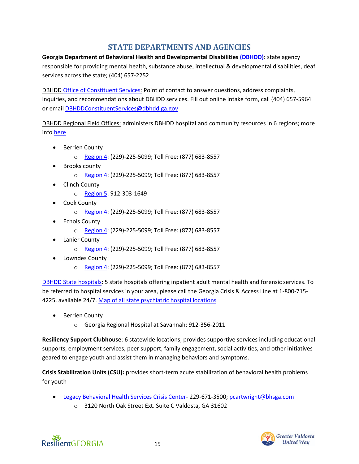### **STATE DEPARTMENTS AND AGENCIES**

<span id="page-14-0"></span>**Georgia Department of Behavioral Health and Developmental Disabilities [\(DBHDD\):](https://dbhdd.georgia.gov/)** state agency responsible for providing mental health, substance abuse, intellectual & developmental disabilities, deaf services across the state; (404) 657-2252

DBHD[D Office of Constituent Services:](https://dbhdd.georgia.gov/how-do-i-contact-constituent-services) Point of contact to answer questions, address complaints, inquiries, and recommendations about DBHDD services. Fill out online intake form, call (404) 657-5964 or email [DBHDDConstituentServices@dbhdd.ga.gov](mailto:DBHDDConstituentServices@dbhdd.ga.gov)

DBHDD Regional Field Offices: administers DBHDD hospital and community resources in 6 regions; more info [here](https://dbhdd.georgia.gov/regional-field-offices)

- Berrien County
	- o [Region](https://dbhdd.georgia.gov/region-4-field-office) 4: (229)-225-5099; Toll Free: (877) 683-8557
- Brooks county
	- o [Region 4:](https://dbhdd.georgia.gov/region-4-field-office) (229)-225-5099; Toll Free: (877) 683-8557
- Clinch County
	- o [Region 5:](https://dbhdd.georgia.gov/regional-field-offices/region-5-field-office) 912-303-1649
- **Cook County** 
	- o [Region 4:](https://dbhdd.georgia.gov/region-4-field-office) (229)-225-5099; Toll Free: (877) 683-8557
- **Echols County** 
	- o [Region 4:](https://dbhdd.georgia.gov/region-4-field-office) (229)-225-5099; Toll Free: (877) 683-8557
- **Lanier County** 
	- o [Region 4:](https://dbhdd.georgia.gov/region-4-field-office) (229)-225-5099; Toll Free: (877) 683-8557
- Lowndes County
	- o [Region 4:](https://dbhdd.georgia.gov/region-4-field-office) (229)-225-5099; Toll Free: (877) 683-8557

[DBHDD State hospitals:](https://dbhdd.georgia.gov/be-caring) 5 state hospitals offering inpatient adult mental health and forensic services. To be referred to hospital services in your area, please call the Georgia Crisis & Access Line at 1-800-715- 4225, available 24/7. [Map of all state psychiatric hospital locations](https://dbhdd.georgia.gov/find-location/state-psychiatric-hospital)

- **Berrien County** 
	- o Georgia Regional Hospital at Savannah; 912-356-2011

**Resiliency Support Clubhouse**: 6 statewide locations, provides supportive services including educational supports, employment services, peer support, family engagement, social activities, and other initiatives geared to engage youth and assist them in managing behaviors and symptoms.

**Crisis Stabilization Units (CSU):** provides short-term acute stabilization of behavioral health problems for youth

- [Legacy Behavioral Health Services Crisis Center-](https://legacysga.com/crisis-stabilization/)229-671-3500; [pcartwright@bhsga.com](mailto:pcartwright@bhsga.com)
	- o 3120 North Oak Street Ext. Suite C Valdosta, GA 31602



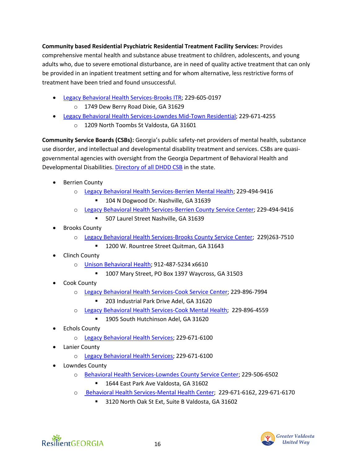**Community based Residential Psychiatric Residential Treatment Facility Services:** Provides comprehensive mental health and substance abuse treatment to children, adolescents, and young adults who, due to severe emotional disturbance, are in need of quality active treatment that can only be provided in an inpatient treatment setting and for whom alternative, less restrictive forms of treatment have been tried and found unsuccessful.

- [Legacy Behavioral Health Services-Brooks ITR;](https://legacysga.com/contact/) 229-605-0197
	- o 1749 Dew Berry Road Dixie, GA 31629
- [Legacy Behavioral Health Services-Lowndes Mid-Town Residential;](https://legacysga.com/contact/) 229-671-4255
	- o 1209 North Toombs St Valdosta, GA 31601

**Community Service Boards (CSBs):** Georgia's public safety-net providers of mental health, substance use disorder, and intellectual and developmental disability treatment and services. CSBs are quasigovernmental agencies with oversight from the Georgia Department of Behavioral Health and Developmental Disabilities. [Directory of all DHDD CSB](https://files.constantcontact.com/6e79dc12801/2c2003db-ab91-459e-b142-0862f078720b.xlsx) in the state.

- Berrien County
	- o [Legacy Behavioral Health Services-Berrien Mental Health;](https://legacysga.com/contact/) 229-494-9416
		- 104 N Dogwood Dr. Nashville, GA 31639
	- o [Legacy Behavioral Health Services-Berrien County Service Center;](https://legacysga.com/contact/) 229-494-9416
		- 507 Laurel Street Nashville, GA 31639
- **Brooks County** 
	- o [Legacy Behavioral Health Services-Brooks County Service Center;](https://legacysga.com/contact/) 229)263-7510
		- 1200 W. Rountree Street Quitman, GA 31643
- Clinch County
	- o [Unison Behavioral Health;](https://unisonbehavioralhealth.com/) 912-487-5234 x6610
		- 1007 Mary Street, PO Box 1397 Waycross, GA 31503
- Cook County
	- o [Legacy Behavioral Health Services-Cook Service Center;](https://legacysga.com/contact/) 229-896-7994
		- 203 Industrial Park Drive Adel, GA 31620
	- o [Legacy Behavioral Health Services-Cook Mental Health;](https://legacysga.com/contact/) 229-896-4559
		- 1905 South Hutchinson Adel, GA 31620
- **Echols County** 
	- o [Legacy Behavioral Health Services;](https://legacysga.com/contact/) 229-671-6100
- Lanier County
	- o [Legacy Behavioral Health Services;](https://legacysga.com/contact/) 229-671-6100
- Lowndes County
	- o [Behavioral Health Services-Lowndes County Service Center;](https://legacysga.com/contact/) 229-506-6502
		- 1644 East Park Ave Valdosta, GA 31602
	- o [Behavioral Health Services-Mental Health Center;](https://legacysga.com/contact/) 229-671-6162, 229-671-6170
		- 3120 North Oak St Ext, Suite B Valdosta, GA 31602



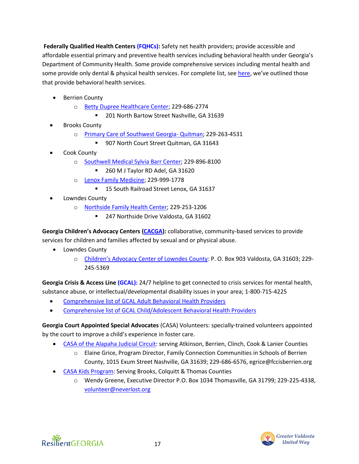**Federally Qualified Health Center[s \(FQHCs\):](https://dch.georgia.gov/federally-qualified-health-centers-fqhcs-community-health-centers-chcs)** Safety net health providers; provide accessible and affordable essential primary and preventive health services including behavioral health under Georgia's Department of Community Health. Some provide comprehensive services including mental health and some provide only dental & physical health services. For complete list, see [here,](https://files.constantcontact.com/6e79dc12801/4401bb36-d907-40c6-b318-eaf778cf9403.xlsx) we've outlined those that provide behavioral health services.

- **Berrien County** 
	- o [Betty Dupree Healthcare Center;](https://www.scpccga.org/nashville-ga) 229-686-2774
		- 201 North Bartow Street Nashville, GA 31639
- **Brooks County** 
	- o [Primary Care of Southwest Georgia-](https://www.pcswga.org/quitman/) Quitman; 229-263-4531
		- 907 North Court Street Quitman, GA 31643
- Cook County
	- o [Southwell Medical Sylvia Barr Center;](https://mysouthwell.com/southwell-medical-sylvia-barr-center/) 229-896-8100
		- 260 M J Taylor RD Adel, GA 31620
	- o [Lenox Family Medicine;](https://www.scpccga.org/lenox-ga) 229-999-1778
		- 15 South Railroad Street Lenox, GA 31637
- Lowndes County
	- o [Northside Family Health Center;](https://www.scpccga.org/valdosta-ga) 229-253-1206
		- 247 Northside Drive Valdosta, GA 31602

**Georgia Children's Advocacy Centers [\(CACGA\)](https://www.cacga.org/):** collaborative, community-based services to provide services for children and families affected by sexual and or physical abuse.

- Lowndes County
	- o [Children's Advocacy Center of Lowndes County](https://caclowndes.org/): P. O. Box 903 Valdosta, GA 31603; 229- 245-5369

**Georgia Crisis & Access Line [\(GCAL\):](https://www.valueoptions.com/referralconnect/doLogin.do?e=Z2FjbSAg)** 24/7 helpline to get connected to crisis services for mental health, substance abuse, or intellectual/developmental disability issues in your area; 1-800-715-4225

- [Comprehensive list of GCAL Adult Behavioral Health Providers](https://files.constantcontact.com/6e79dc12801/a3fa644a-cada-43dc-a91c-67c26c46199e.xlsx)
- [Comprehensive list of GCAL Child/Adolescent Behavioral Health Providers](https://files.constantcontact.com/6e79dc12801/ec13ce31-33e1-4617-91ed-030e2afeb283.xlsx)

**Georgia Court Appointed Special Advocates** (CASA) Volunteers: specially-trained volunteers appointed by the court to improve a child's experience in foster care.

- [CASA of the Alapaha Judicial Circuit:](http://www.fccisberrien.org/) serving Atkinson, Berrien, Clinch, Cook & Lanier Counties
	- o Elaine Grice, Program Director, Family Connection Communities in Schools of Berrien County, 1015 Exum Street Nashville, GA 31639; 229-686-6576, egrice@fccisberrien.org
- [CASA Kids Program:](http://www.neverlost.org/) Serving Brooks, Colquitt & Thomas Counties
	- o Wendy Greene, Executive Director P.O. Box 1034 Thomasville, GA 31799; 229-225-4338, [volunteer@neverlost.org](mailto:volunteer@neverlost.org)

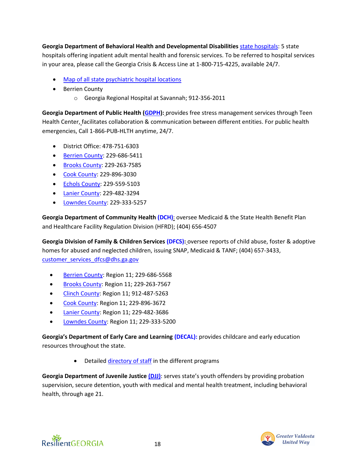**Georgia Department of Behavioral Health and Developmental Disabilities** [state hospitals:](https://dbhdd.georgia.gov/be-caring) 5 state hospitals offering inpatient adult mental health and forensic services. To be referred to hospital services in your area, please call the Georgia Crisis & Access Line at 1-800-715-4225, available 24/7.

- [Map of all state psychiatric hospital locations](https://dbhdd.georgia.gov/find-location/state-psychiatric-hospital)
- **Berrien County** 
	- o Georgia Regional Hospital at Savannah; 912-356-2011

**Georgia Department of Public Health [\(GDPH\)](https://dph.georgia.gov/):** provides free stress management services through Teen Health Center, facilitates collaboration & communication between different entities. For public health emergencies, Call 1-866-PUB-HLTH anytime, 24/7.

- District Office: 478-751-6303
- [Berrien County:](https://southhealthdistrict.com/county-health-departments/berrien-county-health-department/) 229-686-5411
- [Brooks County:](https://southhealthdistrict.com/county-health-departments/brooks-county-health-department/) 229-263-7585
- [Cook County:](https://southhealthdistrict.com/county-health-departments/cook-county-health-department/) 229-896-3030
- [Echols County:](https://southhealthdistrict.com/county-health-departments/echols-county-health-department/) 229-559-5103
- [Lanier County:](https://southhealthdistrict.com/county-health-departments/lanier-county-health-department/) 229-482-3294
- [Lowndes County:](https://southhealthdistrict.com/county-health-departments/lowndes-county-health-department/) 229-333-5257

**Georgia Department of Community Health [\(DCH\)](https://dch.georgia.gov/)**: oversee Medicaid & the State Health Benefit Plan and Healthcare Facility Regulation Division (HFRD); (404) 656-4507

**Georgia Division of Family & Children Services [\(DFCS\):](https://dfcs.georgia.gov/)** oversee reports of child abuse, foster & adoptive homes for abused and neglected children, issuing SNAP, Medicaid & TANF; (404) 657-3433, [customer\\_services\\_dfcs@dhs.ga.gov](mailto:customer_services_dfcs@dhs.ga.gov)

- [Berrien County:](https://dfcs.georgia.gov/locations/berrien-county) Region 11; 229-686-5568
- [Brooks County:](https://dfcs.georgia.gov/locations/brooks-county) Region 11; 229-263-7567
- [Clinch County:](https://dfcs.georgia.gov/locations/clinch-county) Region 11; 912-487-5263
- [Cook County:](https://dfcs.georgia.gov/locations/cook-county) Region 11; 229-896-3672
- **[Lanier County:](https://dfcs.georgia.gov/locations/lanier-county) Region 11; 229-482-3686**
- [Lowndes County:](https://dfcs.georgia.gov/locations/lowndes-county) Region 11; 229-333-5200

**Georgia's Department of Early Care and Learning [\(DECAL\):](http://www.decal.ga.gov/)** provides childcare and early education resources throughout the state.

• Detailed [directory of staff](http://www.decal.ga.gov/BftS/ContactList.aspx) in the different programs

**Georgia Department of Juvenile Justice [\(DJJ\)](https://djj.georgia.gov/)**: serves state's youth offenders by providing probation supervision, secure detention, youth with medical and mental health treatment, including behavioral health, through age 21.



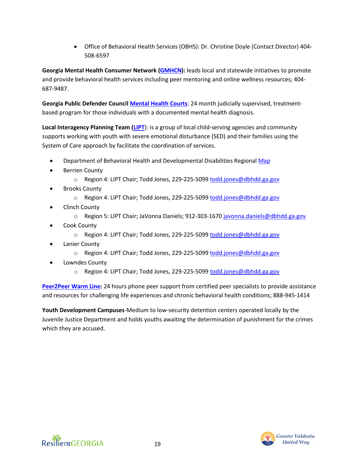• Office of Behavioral Health Services (OBHS): Dr. Christine Doyle (Contact Director) 404- 508-6597

**Georgia Mental Health Consumer Network [\(GMHCN\)](https://www.gmhcn.org/):** leads local and statewide initiatives to promote and provide behavioral health services including peer mentoring and online wellness resources; 404- 687-9487.

**Georgia Public Defender Counci[l Mental Health Courts](http://www.gapubdef.org/index.php/office-of-the-mental-health-advocate/mental-health-courts)**: 24 month judicially supervised, treatmentbased program for those individuals with a documented mental health diagnosis.

**Local Interagency Planning Team [\(LIPT](https://gacoeonline.gsu.edu/soc/lipt/)**): is a group of local child-serving agencies and community supports working with youth with severe emotional disturbance (SED) and their families using the System of Care approach by facilitate the coordination of services.

- Department of Behavioral Health and Developmental Disabilities Regiona[l Map](https://gacoeonline.gsu.edu/files/2019/09/SOC_LIPT-Brochure_FINAL_09.2019.pdf)
- **Berrien County** 
	- o Region 4: LIPT Chair; Todd Jones, 229-225-5099 [todd.jones@dbhdd.ga.gov](mailto:todd.jones@dbhdd.ga.gov)
- **Brooks County** 
	- o Region 4: LIPT Chair; Todd Jones, 229-225-5099 [todd.jones@dbhdd.ga.gov](mailto:todd.jones@dbhdd.ga.gov)
- Clinch County
	- o Region 5: LIPT Chair; JaVonna Daniels; 912-303-1670 [javonna.daniels@dbhdd.ga.gov](mailto:javonna.daniels@dbhdd.ga.gov)
- Cook County
	- o Region 4: LIPT Chair; Todd Jones, 229-225-5099 [todd.jones@dbhdd.ga.gov](mailto:todd.jones@dbhdd.ga.gov)
- Lanier County
	- o Region 4: LIPT Chair; Todd Jones, 229-225-5099 [todd.jones@dbhdd.ga.gov](mailto:todd.jones@dbhdd.ga.gov)
- Lowndes County
	- o Region 4: LIPT Chair; Todd Jones, 229-225-5099 [todd.jones@dbhdd.ga.gov](mailto:todd.jones@dbhdd.ga.gov)

**[Peer2Peer Warm Line:](https://www.gmhcn.org/peer2peer-warm-line)** 24 hours phone peer support from certified peer specialists to provide assistance and resources for challenging life experiences and chronic behavioral health conditions; 888-945-1414

**Youth Development Campuses**-Medium to low-security detention centers operated locally by the Juvenile Justice Department and holds youths awaiting the determination of punishment for the crimes which they are accused.



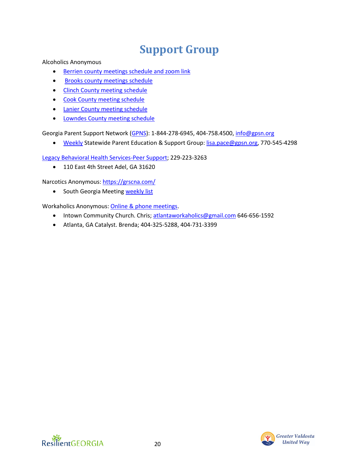## **Support Group**

<span id="page-19-0"></span>Alcoholics Anonymous

- [Berrien county meetings schedule and zoom link](https://find.aageorgia.org/meetings/county/berrien+county)
- [Brooks county meetings schedule](https://find.aageorgia.org/meetings/location/36)
- [Clinch County meeting schedule](https://find.aageorgia.org/meetings/county/clinch+county)
- [Cook County meeting schedule](https://find.aageorgia.org/meetings/county/cook+county)
- [Lanier County meeting schedule](https://find.aageorgia.org/meetings/county/lanier+county)
- [Lowndes County meeting schedule](https://find.aageorgia.org/meetings/county/lowndes+county)

Georgia Parent Support Network [\(GPNS\)](http://gpsn.org/resources): 1-844-278-6945, 404-758.4500, [info@gpsn.org](mailto:info@gpsn.org)

• [Weekly](https://gpsn.org/parentsupport/) Statewide Parent Education & Support Group: [lisa.pace@gpsn.org,](mailto:lisa.pace@gpsn.org) 770-545-4298

[Legacy Behavioral Health Services-Peer Support;](https://legacysga.com/contact/) 229-223-3263

• 110 East 4th Street Adel, GA 31620

Narcotics Anonymous:<https://grscna.com/>

• South Georgia Meeting [weekly list](https://grscna.com/south-georgia-area/)

Workaholics Anonymous[: Online & phone meetings.](https://workaholics-anonymous.org/meetings/wa-meetings)

- Intown Community Church. Chris; [atlantaworkaholics@gmail.com](mailto:atlantaworkaholics@gmail.com) 646-656-1592
- Atlanta, GA Catalyst. Brenda; 404-325-5288, 404-731-3399